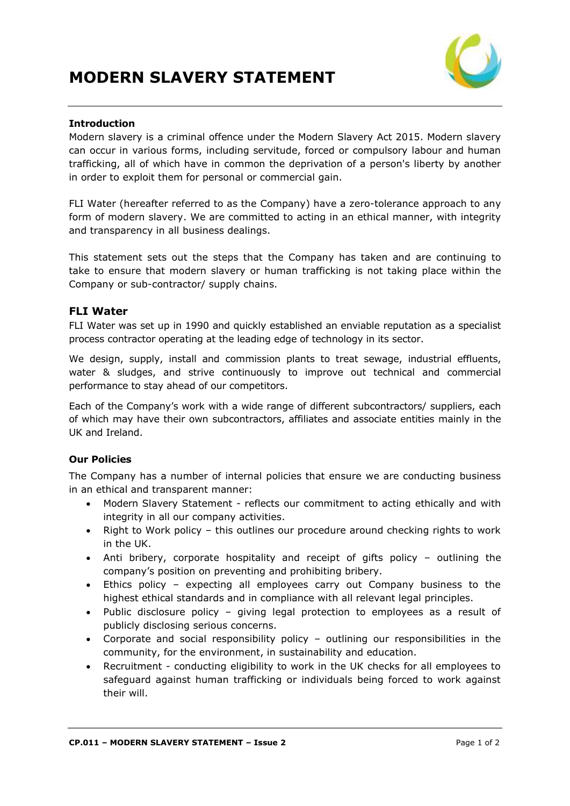

### **Introduction**

Modern slavery is a criminal offence under the Modern Slavery Act 2015. Modern slavery can occur in various forms, including servitude, forced or compulsory labour and human trafficking, all of which have in common the deprivation of a person's liberty by another in order to exploit them for personal or commercial gain.

FLI Water (hereafter referred to as the Company) have a zero-tolerance approach to any form of modern slavery. We are committed to acting in an ethical manner, with integrity and transparency in all business dealings.

This statement sets out the steps that the Company has taken and are continuing to take to ensure that modern slavery or human trafficking is not taking place within the Company or sub-contractor/ supply chains.

## **FLI Water**

FLI Water was set up in 1990 and quickly established an enviable reputation as a specialist process contractor operating at the leading edge of technology in its sector.

We design, supply, install and commission plants to treat sewage, industrial effluents, water & sludges, and strive continuously to improve out technical and commercial performance to stay ahead of our competitors.

Each of the Company's work with a wide range of different subcontractors/ suppliers, each of which may have their own subcontractors, affiliates and associate entities mainly in the UK and Ireland.

### **Our Policies**

The Company has a number of internal policies that ensure we are conducting business in an ethical and transparent manner:

- Modern Slavery Statement reflects our commitment to acting ethically and with integrity in all our company activities.
- Right to Work policy this outlines our procedure around checking rights to work in the UK.
- Anti bribery, corporate hospitality and receipt of gifts policy outlining the company's position on preventing and prohibiting bribery.
- Ethics policy expecting all employees carry out Company business to the highest ethical standards and in compliance with all relevant legal principles.
- Public disclosure policy giving legal protection to employees as a result of publicly disclosing serious concerns.
- Corporate and social responsibility policy outlining our responsibilities in the community, for the environment, in sustainability and education.
- Recruitment conducting eligibility to work in the UK checks for all employees to safeguard against human trafficking or individuals being forced to work against their will.